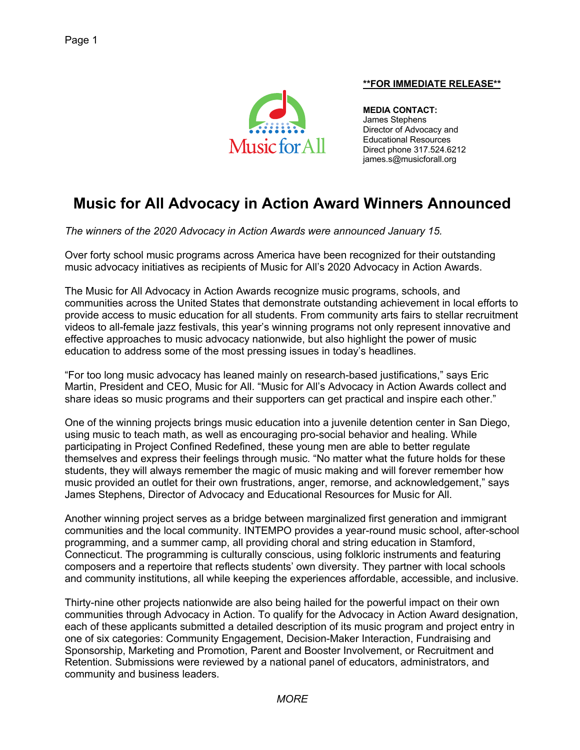

## **\*\*FOR IMMEDIATE RELEASE\*\***

**MEDIA CONTACT:** James Stephens Director of Advocacy and Educational Resources Direct phone 317.524.6212 james.s@musicforall.org

# **Music for All Advocacy in Action Award Winners Announced**

*The winners of the 2020 Advocacy in Action Awards were announced January 15.*

Over forty school music programs across America have been recognized for their outstanding music advocacy initiatives as recipients of Music for All's 2020 Advocacy in Action Awards.

The Music for All Advocacy in Action Awards recognize music programs, schools, and communities across the United States that demonstrate outstanding achievement in local efforts to provide access to music education for all students. From community arts fairs to stellar recruitment videos to all-female jazz festivals, this year's winning programs not only represent innovative and effective approaches to music advocacy nationwide, but also highlight the power of music education to address some of the most pressing issues in today's headlines.

"For too long music advocacy has leaned mainly on research-based justifications," says Eric Martin, President and CEO, Music for All. "Music for All's Advocacy in Action Awards collect and share ideas so music programs and their supporters can get practical and inspire each other."

One of the winning projects brings music education into a juvenile detention center in San Diego, using music to teach math, as well as encouraging pro-social behavior and healing. While participating in Project Confined Redefined, these young men are able to better regulate themselves and express their feelings through music. "No matter what the future holds for these students, they will always remember the magic of music making and will forever remember how music provided an outlet for their own frustrations, anger, remorse, and acknowledgement," says James Stephens, Director of Advocacy and Educational Resources for Music for All.

Another winning project serves as a bridge between marginalized first generation and immigrant communities and the local community. INTEMPO provides a year-round music school, after-school programming, and a summer camp, all providing choral and string education in Stamford, Connecticut. The programming is culturally conscious, using folkloric instruments and featuring composers and a repertoire that reflects students' own diversity. They partner with local schools and community institutions, all while keeping the experiences affordable, accessible, and inclusive.

Thirty-nine other projects nationwide are also being hailed for the powerful impact on their own communities through Advocacy in Action. To qualify for the Advocacy in Action Award designation, each of these applicants submitted a detailed description of its music program and project entry in one of six categories: Community Engagement, Decision-Maker Interaction, Fundraising and Sponsorship, Marketing and Promotion, Parent and Booster Involvement, or Recruitment and Retention. Submissions were reviewed by a national panel of educators, administrators, and community and business leaders.